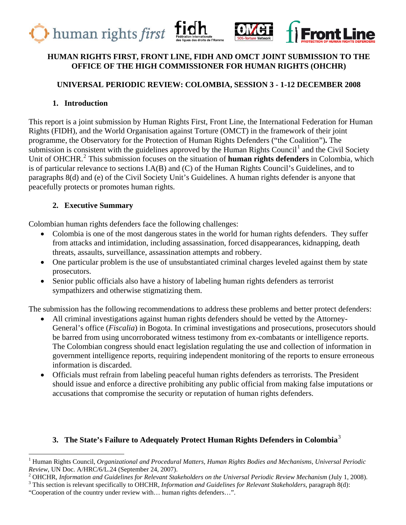



### **HUMAN RIGHTS FIRST, FRONT LINE, FIDH AND OMCT JOINT SUBMISSION TO THE OFFICE OF THE HIGH COMMISSIONER FOR HUMAN RIGHTS (OHCHR)**

## **UNIVERSAL PERIODIC REVIEW: COLOMBIA, SESSION 3 - 1-12 DECEMBER 2008**

### **1. Introduction**

This report is a joint submission by Human Rights First, Front Line, the International Federation for Human Rights (FIDH), and the World Organisation against Torture (OMCT) in the framework of their joint programme, the Observatory for the Protection of Human Rights Defenders ("the Coalition")**.** The submission is consistent with the guidelines approved by the Human Rights Council<sup>[1](#page-0-0)</sup> and the Civil Society Unit of OHCHR.[2](#page-0-1) This submission focuses on the situation of **human rights defenders** in Colombia, which is of particular relevance to sections I.A(B) and (C) of the Human Rights Council's Guidelines, and to paragraphs 8(d) and (e) of the Civil Society Unit's Guidelines. A human rights defender is anyone that peacefully protects or promotes human rights.

## **2. Executive Summary**

Colombian human rights defenders face the following challenges:

- Colombia is one of the most dangerous states in the world for human rights defenders. They suffer from attacks and intimidation, including assassination, forced disappearances, kidnapping, death threats, assaults, surveillance, assassination attempts and robbery.
- One particular problem is the use of unsubstantiated criminal charges leveled against them by state prosecutors.
- Senior public officials also have a history of labeling human rights defenders as terrorist sympathizers and otherwise stigmatizing them.

The submission has the following recommendations to address these problems and better protect defenders:

- All criminal investigations against human rights defenders should be vetted by the Attorney-General's office (*Fiscalia*) in Bogota. In criminal investigations and prosecutions, prosecutors should be barred from using uncorroborated witness testimony from ex-combatants or intelligence reports. The Colombian congress should enact legislation regulating the use and collection of information in government intelligence reports, requiring independent monitoring of the reports to ensure erroneous information is discarded.
- Officials must refrain from labeling peaceful human rights defenders as terrorists. The President should issue and enforce a directive prohibiting any public official from making false imputations or accusations that compromise the security or reputation of human rights defenders.

## **3. The State's Failure to Adequately Protect Human Rights Defenders in Colombia**[3](#page-0-2)

<span id="page-0-0"></span><sup>1</sup> Human Rights Council, *Organizational and Procedural Matters, Human Rights Bodies and Mechanisms, Universal Periodic Review*, UN Doc. A/HRC/6/L.24 (September 24, 2007).

<span id="page-0-1"></span>OHCHR, *Information and Guidelines for Relevant Stakeholders on the Universal Periodic Review Mechanism* (July 1, 2008). 3

<span id="page-0-2"></span>This section is relevant specifically to OHCHR, *Information and Guidelines for Relevant Stakeholders*, paragraph 8(d):

<sup>&</sup>quot;Cooperation of the country under review with… human rights defenders…".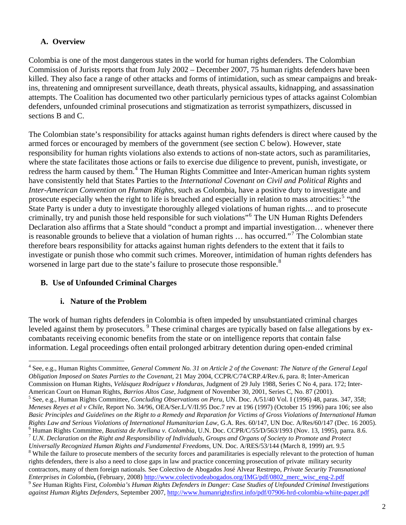### **A. Overview**

Colombia is one of the most dangerous states in the world for human rights defenders. The Colombian Commission of Jurists reports that from July 2002 – December 2007, 75 human rights defenders have been killed. They also face a range of other attacks and forms of intimidation, such as smear campaigns and breakins, threatening and omnipresent surveillance, death threats, physical assaults, kidnapping, and assassination attempts. The Coalition has documented two other particularly pernicious types of attacks against Colombian defenders, unfounded criminal prosecutions and stigmatization as terrorist sympathizers, discussed in sections B and C.

The Colombian state's responsibility for attacks against human rights defenders is direct where caused by the armed forces or encouraged by members of the government (see section C below). However, state responsibility for human rights violations also extends to actions of non-state actors, such as paramilitaries, where the state facilitates those actions or fails to exercise due diligence to prevent, punish, investigate, or redress the harm caused by them.<sup>[4](#page-1-0)</sup> The Human Rights Committee and Inter-American human rights system have consistently held that States Parties to the *International Covenant on Civil and Political Rights* and *Inter-American Convention on Human Rights*, such as Colombia, have a positive duty to investigate and prosecute especially when the right to life is breached and especially in relation to mass atrocities:<sup>[5](#page-1-1)</sup> "the State Party is under a duty to investigate thoroughly alleged violations of human rights… and to prosecute criminally, try and punish those held responsible for such violations"[6](#page-1-2) The UN Human Rights Defenders Declaration also affirms that a State should "conduct a prompt and impartial investigation… whenever there is reasonable grounds to believe that a violation of human rights ... has occurred."<sup>[7](#page-1-3)</sup> The Colombian state therefore bears responsibility for attacks against human rights defenders to the extent that it fails to investigate or punish those who commit such crimes. Moreover, intimidation of human rights defenders has worsened in large part due to the state's failure to prosecute those responsible.<sup>[8](#page-1-4)</sup>

#### **B. Use of Unfounded Criminal Charges**

#### **i. Nature of the Problem**

l

The work of human rights defenders in Colombia is often impeded by unsubstantiated criminal charges leveled against them by prosecutors. <sup>[9](#page-1-5)</sup> These criminal charges are typically based on false allegations by excombatants receiving economic benefits from the state or on intelligence reports that contain false information. Legal proceedings often entail prolonged arbitrary detention during open-ended criminal

<span id="page-1-4"></span><span id="page-1-3"></span><span id="page-1-2"></span>*Enterprises in Colombia***,** (February, 2008) [http://www.colectivodeabogados.org/IMG/pdf/0802\\_merc\\_wisc\\_eng-2.pdf](http://www.colectivodeabogados.org/IMG/pdf/0802_merc_wisc_eng-2.pdf)

<span id="page-1-1"></span><span id="page-1-0"></span><sup>4</sup> See, e.g., Human Rights Committee, *General Comment No. 31 on Article 2 of the Covenant: The Nature of the General Legal Obligation Imposed on States Parties to the Covenant*, 21 May 2004, CCPR/C/74/CRP.4/Rev.6, para. 8; Inter-American Commission on Human Rights, *Velásquez Rodríguez v Honduras,* Judgment of 29 July 1988, Series C No 4, para. 172; Inter-American Court on Human Rights, *Barrios Altos Case*, Judgment of November 30, 2001, Series C, No. 87 (2001). 5 See, e.g., Human Rights Committee, *Concluding Observations on Peru*, UN. Doc. A/51/40 Vol. I (1996) 48, paras. 347, 358; *Meneses Reyes et al v Chile*, Report No. 34/96, OEA/Ser.L/V/II.95 Doc.7 rev at 196 (1997) (October 15 1996) para 106; see also *Basic Principles and Guidelines on the Right to a Remedy and Reparation for Victims of Gross Violations of International Human Rights Law and Serious Violations of International Humanitarian Law*, G.A. Res. 60/147, UN Doc. A/Res/60/147 (Dec. 16 2005). 6 <sup>6</sup> Human Rights Committee, *Bautista de Arellana v. Colombia*, U.N. Doc. CCPR/C/55/D/563/1993 (Nov. 13, 1995), parra. 8.6.<br><sup>7</sup> U.N. Declaration on the Right and Responsibility of Individuals, Groups and Organs of Society *Universally Recognized Human Rights and Fundamental Freedoms*, UN. Doc. A/RES/53/144 (March 8, 1999) art. 9.5 8 <sup>8</sup> While the failure to prosecute members of the security forces and paramilitaries is especially relevant to the protection of human rights defenders, there is also a need to close gaps in law and practice concerning prosecution of private military security contractors, many of them foreign nationals. See Colectivo de Abogados José Alvear Restrepo, *Private Security Transnational* 

<span id="page-1-5"></span><sup>9</sup> *See* Human Rights First, *Colombia's Human Rights Defenders in Danger: Case Studies of Unfounded Criminal Investigations against Human Rights Defenders*, September 2007,<http://www.humanrightsfirst.info/pdf/07906-hrd-colombia-whiite-paper.pdf>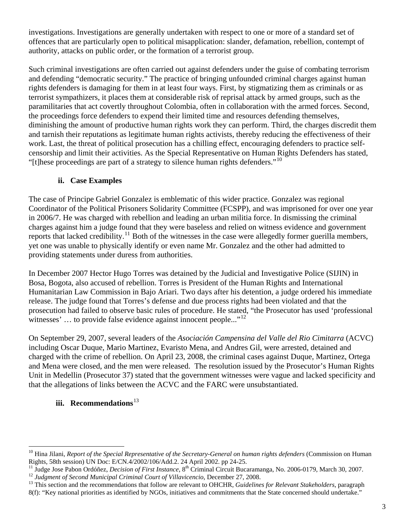investigations. Investigations are generally undertaken with respect to one or more of a standard set of offences that are particularly open to political misapplication: slander, defamation, rebellion, contempt of authority, attacks on public order, or the formation of a terrorist group.

Such criminal investigations are often carried out against defenders under the guise of combating terrorism and defending "democratic security." The practice of bringing unfounded criminal charges against human rights defenders is damaging for them in at least four ways. First, by stigmatizing them as criminals or as terrorist sympathizers, it places them at considerable risk of reprisal attack by armed groups, such as the paramilitaries that act covertly throughout Colombia, often in collaboration with the armed forces. Second, the proceedings force defenders to expend their limited time and resources defending themselves, diminishing the amount of productive human rights work they can perform. Third, the charges discredit them and tarnish their reputations as legitimate human rights activists, thereby reducing the effectiveness of their work. Last, the threat of political prosecution has a chilling effect, encouraging defenders to practice selfcensorship and limit their activities. As the Special Representative on Human Rights Defenders has stated, "[t]hese proceedings are part of a strategy to silence human rights defenders."<sup>[10](#page-2-0)</sup>

### **ii. Case Examples**

The case of Principe Gabriel Gonzalez is emblematic of this wider practice. Gonzalez was regional Coordinator of the Political Prisoners Solidarity Committee (FCSPP), and was imprisoned for over one year in 2006/7. He was charged with rebellion and leading an urban militia force. In dismissing the criminal charges against him a judge found that they were baseless and relied on witness evidence and government reports that lacked credibility.<sup>[11](#page-2-1)</sup> Both of the witnesses in the case were allegedly former guerilla members, yet one was unable to physically identify or even name Mr. Gonzalez and the other had admitted to providing statements under duress from authorities.

In December 2007 Hector Hugo Torres was detained by the Judicial and Investigative Police (SIJIN) in Bosa, Bogota, also accused of rebellion. Torres is President of the Human Rights and International Humanitarian Law Commission in Bajo Ariari. Two days after his detention, a judge ordered his immediate release. The judge found that Torres's defense and due process rights had been violated and that the prosecution had failed to observe basic rules of procedure. He stated, "the Prosecutor has used 'professional witnesses' ... to provide false evidence against innocent people..."<sup>[12](#page-2-2)</sup>

On September 29, 2007, several leaders of the *Asociación Campensina del Valle del Rio Cimitarra* (ACVC) including Oscar Duque, Mario Martinez, Evaristo Mena, and Andres Gil, were arrested, detained and charged with the crime of rebellion. On April 23, 2008, the criminal cases against Duque, Martinez, Ortega and Mena were closed, and the men were released. The resolution issued by the Prosecutor's Human Rights Unit in Medellin (Prosecutor 37) stated that the government witnesses were vague and lacked specificity and that the allegations of links between the ACVC and the FARC were unsubstantiated.

## **iii.** Recommendations<sup>[13](#page-2-3)</sup>

<span id="page-2-0"></span><sup>&</sup>lt;sup>10</sup> Hina Jilani, *Report of the Special Representative of the Secretary-General on human rights defenders (Commission on Human* Rights, 58th session) UN Doc: E/CN.4/2002/106/Add.2. 24 April 2002. pp 24-25.

<span id="page-2-2"></span><span id="page-2-1"></span><sup>&</sup>lt;sup>11</sup> Judge Jose Pabon Ordóñez, *Decision of First Instance*,  $8<sup>th</sup>$  Criminal Circuit Bucaramanga, No. 2006-0179, March 30, 2007.<br><sup>12</sup> Judgment of Second Municipal Criminal Court of Villavicencio, December 27, 2008.<br><sup>1</sup>

<span id="page-2-3"></span><sup>8(</sup>f): "Key national priorities as identified by NGOs, initiatives and commitments that the State concerned should undertake."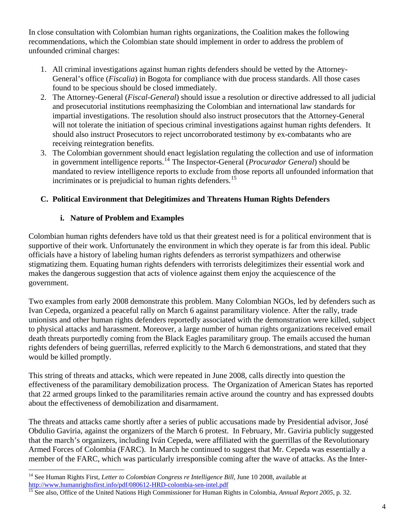In close consultation with Colombian human rights organizations, the Coalition makes the following recommendations, which the Colombian state should implement in order to address the problem of unfounded criminal charges:

- 1. All criminal investigations against human rights defenders should be vetted by the Attorney-General's office (*Fiscalia*) in Bogota for compliance with due process standards. All those cases found to be specious should be closed immediately.
- 2. The Attorney-General (*Fiscal-General*) should issue a resolution or directive addressed to all judicial and prosecutorial institutions reemphasizing the Colombian and international law standards for impartial investigations. The resolution should also instruct prosecutors that the Attorney-General will not tolerate the initiation of specious criminal investigations against human rights defenders. It should also instruct Prosecutors to reject uncorroborated testimony by ex-combatants who are receiving reintegration benefits.
- 3. The Colombian government should enact legislation regulating the collection and use of information in government intelligence reports.<sup>[14](#page-3-0)</sup> The Inspector-General (*Procurador General*) should be mandated to review intelligence reports to exclude from those reports all unfounded information that incriminates or is prejudicial to human rights defenders.<sup>[15](#page-3-1)</sup>

## **C. Political Environment that Delegitimizes and Threatens Human Rights Defenders**

# **i. Nature of Problem and Examples**

Colombian human rights defenders have told us that their greatest need is for a political environment that is supportive of their work. Unfortunately the environment in which they operate is far from this ideal. Public officials have a history of labeling human rights defenders as terrorist sympathizers and otherwise stigmatizing them. Equating human rights defenders with terrorists delegitimizes their essential work and makes the dangerous suggestion that acts of violence against them enjoy the acquiescence of the government.

Two examples from early 2008 demonstrate this problem. Many Colombian NGOs, led by defenders such as Ivan Cepeda, organized a peaceful rally on March 6 against paramilitary violence. After the rally, trade unionists and other human rights defenders reportedly associated with the demonstration were killed, subject to physical attacks and harassment. Moreover, a large number of human rights organizations received email death threats purportedly coming from the Black Eagles paramilitary group. The emails accused the human rights defenders of being guerrillas, referred explicitly to the March 6 demonstrations, and stated that they would be killed promptly.

This string of threats and attacks, which were repeated in June 2008, calls directly into question the effectiveness of the paramilitary demobilization process. The Organization of American States has reported that 22 armed groups linked to the paramilitaries remain active around the country and has expressed doubts about the effectiveness of demobilization and disarmament.

The threats and attacks came shortly after a series of public accusations made by Presidential advisor, José Obdulio Gaviria, against the organizers of the March 6 protest. In February, Mr. Gaviria publicly suggested that the march's organizers, including Iván Cepeda, were affiliated with the guerrillas of the Revolutionary Armed Forces of Colombia (FARC). In March he continued to suggest that Mr. Cepeda was essentially a member of the FARC, which was particularly irresponsible coming after the wave of attacks. As the Inter-

<span id="page-3-0"></span><sup>&</sup>lt;sup>14</sup> See Human Rights First, *Letter to Colombian Congress re Intelligence Bill*, June 10 2008, available at http://www.humanrightsfirst.info/pdf/080612-HRD-colombia-sen-intel.pdf<br><sup>15</sup> See also, Office of the United Nations High Commissioner for Human Rights in Colombia, *Annual Report 2005*, p. 32.

<span id="page-3-1"></span>